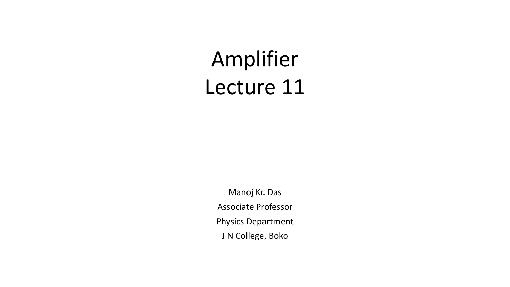# Amplifier Lecture 11

Manoj Kr. Das Associate Professor Physics Department J N College, Boko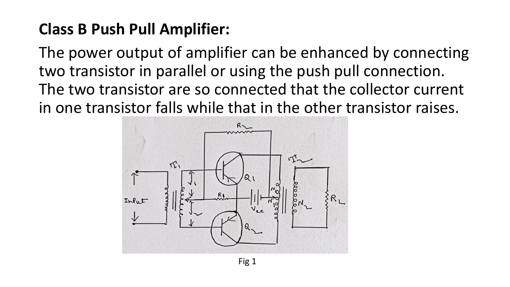#### **Class B Push Pull Amplifier:**

The power output of amplifier can be enhanced by connecting two transistor in parallel or using the push pull connection. The two transistor are so connected that the collector current in one transistor falls while that in the other transistor raises.

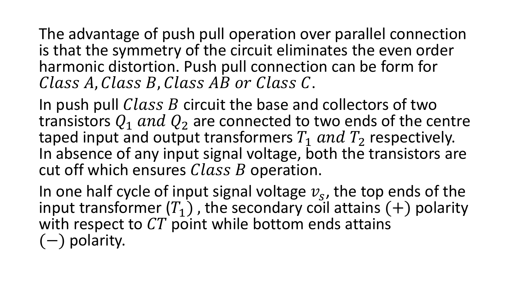The advantage of push pull operation over parallel connection is that the symmetry of the circuit eliminates the even order harmonic distortion. Push pull connection can be form for Class A, Class B, Class AB or Class C.

In push pull  $Class B$  circuit the base and collectors of two transistors  $Q_1$  and  $Q_2$  are connected to two ends of the centre taped input and output transformers  $T_1$  and  $T_2$  respectively. In absence of any input signal voltage, both the transistors are cut off which ensures  $Class B$  operation.

In one half cycle of input signal voltage  $v_s$ , the top ends of the input transformer  $(T_1)$ , the secondary coil attains  $(+)$  polarity with respect to  $CT$  point while bottom ends attains (−) polarity.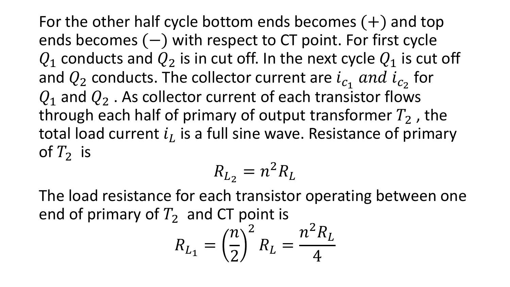For the other half cycle bottom ends becomes  $(+)$  and top ends becomes (−) with respect to CT point. For first cycle  $Q_1$  conducts and  $Q_2$  is in cut off. In the next cycle  $Q_1$  is cut off and  $Q_2$  conducts. The collector current are  $i_{c_1}$  and  $i_{c_2}$  for  $Q_1$  and  $Q_2$ . As collector current of each transistor flows through each half of primary of output transformer  $T_2$ , the total load current  $i_L$  is a full sine wave. Resistance of primary of  $T_2$  is

$$
R_{L_2} = n^2 R_L
$$

The load resistance for each transistor operating between one end of primary of  $T_2$  and CT point is

$$
R_{L_1} = \left(\frac{n}{2}\right)^2 R_L = \frac{n^2 R_L}{4}
$$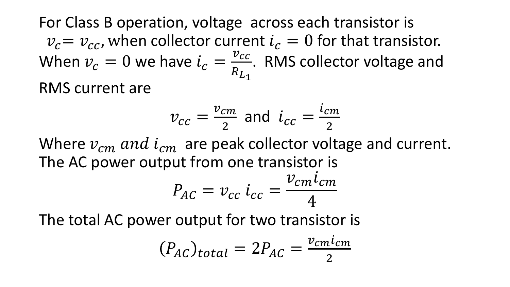For Class B operation, voltage across each transistor is  $v_c = v_{cc}$ , when collector current  $i_c = 0$  for that transistor. When  $v_c = 0$  we have  $i_c =$  $v_{cc}$  $R_{L_1}$ . RMS collector voltage and RMS current are

$$
v_{cc} = \frac{v_{cm}}{2}
$$
 and  $i_{cc} = \frac{i_{cm}}{2}$ 

Where  $v_{cm}$  and  $i_{cm}$  are peak collector voltage and current. The AC power output from one transistor is

$$
P_{AC} = v_{cc} i_{cc} = \frac{v_{cm} i_{cm}}{4}
$$

The total AC power output for two transistor is

$$
(P_{AC})_{total} = 2P_{AC} = \frac{v_{cm}i_{cm}}{2}
$$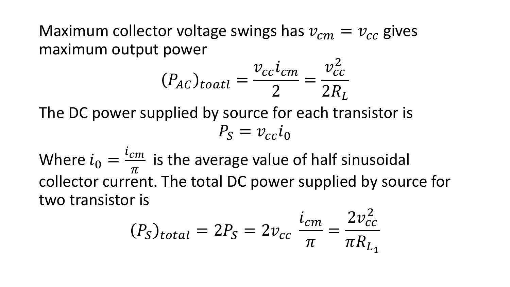Maximum collector voltage swings has  $v_{cm} = v_{cc}$  gives maximum output power

$$
(P_{AC})_{toatl} = \frac{\nu_{cc}i_{cm}}{2} = \frac{\nu_{cc}^2}{2R_L}
$$

The DC power supplied by source for each transistor is  $P_{\rm s} = v_{\rm cc} i_0$ 

Where  $i_0 =$  $i_{cm}$  $\overline{\pi}$ is the average value of half sinusoidal collector current. The total DC power supplied by source for two transistor is

$$
(P_S)_{total} = 2P_S = 2v_{cc} \frac{i_{cm}}{\pi} = \frac{2v_{cc}^2}{\pi R_{L_1}}
$$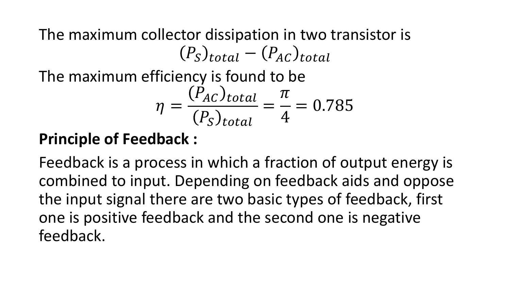The maximum collector dissipation in two transistor is  $(P_S)_{total} - (P_{AC})_{total}$ 

The maximum efficiency is found to be

$$
\eta = \frac{(P_{AC})_{total}}{(P_{S})_{total}} = \frac{\pi}{4} = 0.785
$$

#### **Principle of Feedback :**

Feedback is a process in which a fraction of output energy is combined to input. Depending on feedback aids and oppose the input signal there are two basic types of feedback, first one is positive feedback and the second one is negative feedback.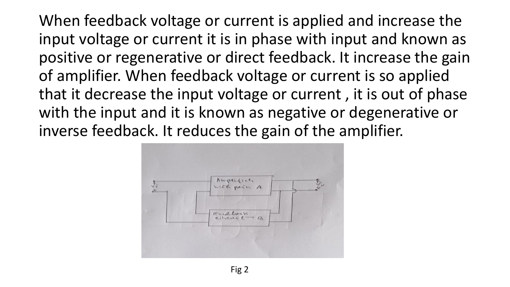When feedback voltage or current is applied and increase the input voltage or current it is in phase with input and known as positive or regenerative or direct feedback. It increase the gain of amplifier. When feedback voltage or current is so applied that it decrease the input voltage or current , it is out of phase with the input and it is known as negative or degenerative or inverse feedback. It reduces the gain of the amplifier.

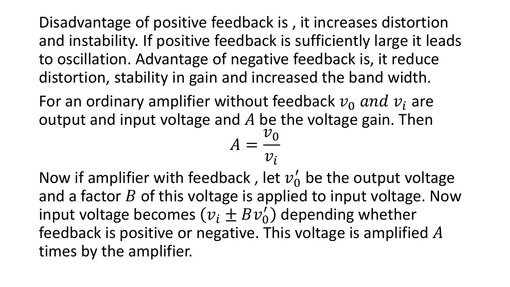Disadvantage of positive feedback is , it increases distortion and instability. If positive feedback is sufficiently large it leads to oscillation. Advantage of negative feedback is, it reduce distortion, stability in gain and increased the band width.

For an ordinary amplifier without feedback  $v_0$  and  $v_i$  are output and input voltage and  $A$  be the voltage gain. Then

$$
A = \frac{v_0}{v_i}
$$

Now if amplifier with feedback, let  $v'_0$  be the output voltage and a factor  $B$  of this voltage is applied to input voltage. Now input voltage becomes  $(v_i \pm Bv'_0)$  depending whether feedback is positive or negative. This voltage is amplified  $A$ times by the amplifier.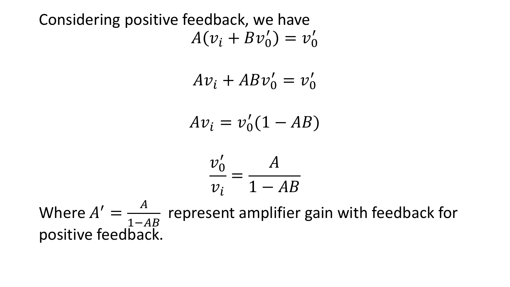Considering positive feedback, we have  $A(v_i + Bv'_0) = v'_0$ 

$$
Av_i + ABv'_0 = v'_0
$$

$$
Av_i = v'_0(1 - AB)
$$

$$
\frac{v_0'}{v_i} = \frac{A}{1 - AB}
$$

Where  $A' =$  $\overline{A}$  $1 - AB$ represent amplifier gain with feedback for positive feedback.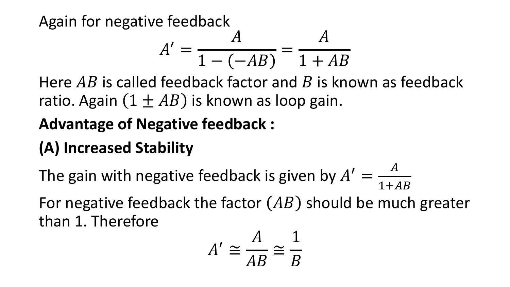Again for negative feedback

$$
A' = \frac{A}{1 - (-AB)} = \frac{A}{1 + AB}
$$

Here  $AB$  is called feedback factor and  $B$  is known as feedback ratio. Again  $(1 \pm AB)$  is known as loop gain.

# **Advantage of Negative feedback :**

# **(A) Increased Stability**

The gain with negative feedback is given by  $A' =$  $\overline{A}$  $1+AB$ For negative feedback the factor  $(AB)$  should be much greater than 1. Therefore

$$
A' \cong \frac{A}{AB} \cong \frac{1}{B}
$$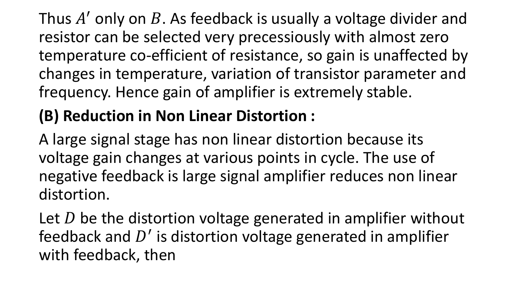Thus  $A'$  only on  $B$ . As feedback is usually a voltage divider and resistor can be selected very precessiously with almost zero temperature co-efficient of resistance, so gain is unaffected by changes in temperature, variation of transistor parameter and frequency. Hence gain of amplifier is extremely stable.

# **(B) Reduction in Non Linear Distortion :**

A large signal stage has non linear distortion because its voltage gain changes at various points in cycle. The use of negative feedback is large signal amplifier reduces non linear distortion.

Let  $D$  be the distortion voltage generated in amplifier without feedback and  $D'$  is distortion voltage generated in amplifier with feedback, then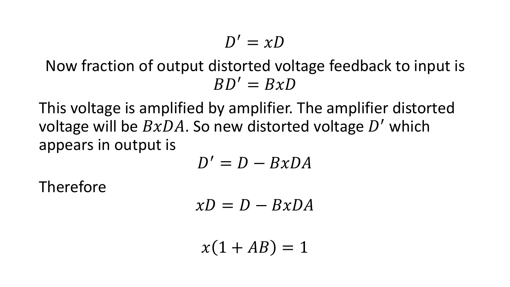$$
D' = xD
$$

#### Now fraction of output distorted voltage feedback to input is  $BD' = BxD$

This voltage is amplified by amplifier. The amplifier distorted voltage will be  $BxDA$ . So new distorted voltage  $D'$  which appears in output is

$$
D'=D-BxDA
$$

Therefore

$$
xD = D - BxDA
$$

 $x(1 + AB) = 1$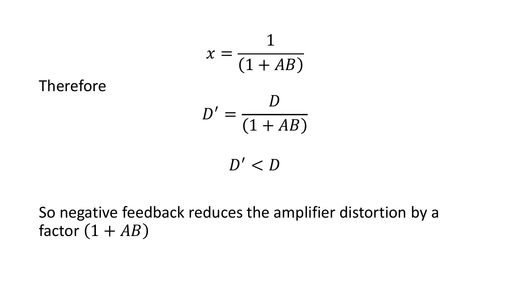Therefore  
\n
$$
x = \frac{1}{(1 + AB)}
$$
\n
$$
D' = \frac{D}{(1 + AB)}
$$
\n
$$
D' < D
$$

#### So negative feedback reduces the amplifier distortion by a factor  $(1 + AB)$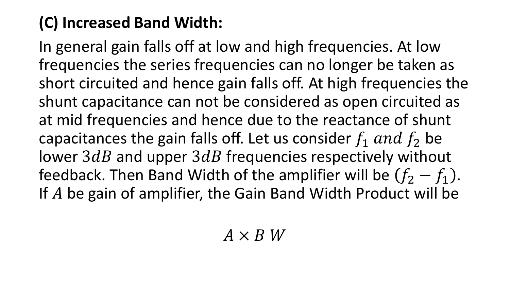## **(C) Increased Band Width:**

In general gain falls off at low and high frequencies. At low frequencies the series frequencies can no longer be taken as short circuited and hence gain falls off. At high frequencies the shunt capacitance can not be considered as open circuited as at mid frequencies and hence due to the reactance of shunt capacitances the gain falls off. Let us consider  $f_1$  and  $f_2$  be lower  $3dB$  and upper  $3dB$  frequencies respectively without feedback. Then Band Width of the amplifier will be  $(f_2 - f_1)$ . If  $A$  be gain of amplifier, the Gain Band Width Product will be

#### $A \times B$  W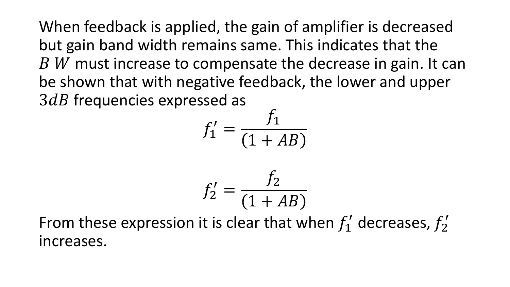When feedback is applied, the gain of amplifier is decreased but gain band width remains same. This indicates that the  $B$  W must increase to compensate the decrease in gain. It can be shown that with negative feedback, the lower and upper  $3dB$  frequencies expressed as

$$
f_1' = \frac{f_1}{(1 + AB)}
$$

$$
f_2' = \frac{f_2}{(1+AB)}
$$

From these expression it is clear that when  $f'_1$  decreases,  $f'_2$ increases.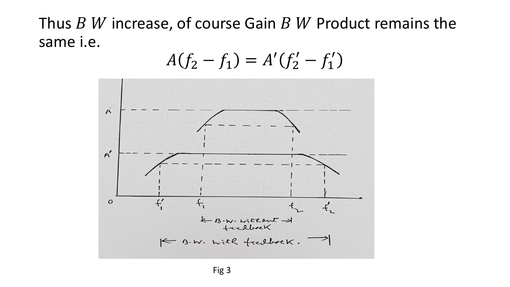#### Thus  $B$  W increase, of course Gain  $B$  W Product remains the same i.e.

$$
A(f_2 - f_1) = A'(f_2' - f_1')
$$

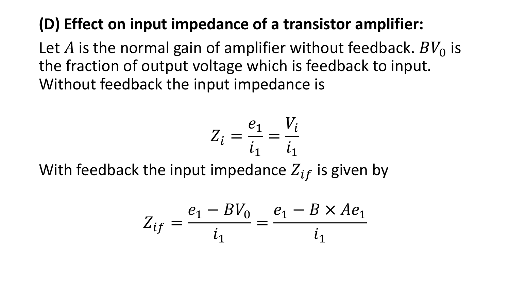### **(D) Effect on input impedance of a transistor amplifier:**

Let A is the normal gain of amplifier without feedback.  $BV_0$  is the fraction of output voltage which is feedback to input. Without feedback the input impedance is

$$
Z_i = \frac{e_1}{i_1} = \frac{V_i}{i_1}
$$

With feedback the input impedance  $Z_{if}$  is given by

$$
Z_{if} = \frac{e_1 - BV_0}{i_1} = \frac{e_1 - B \times Ae_1}{i_1}
$$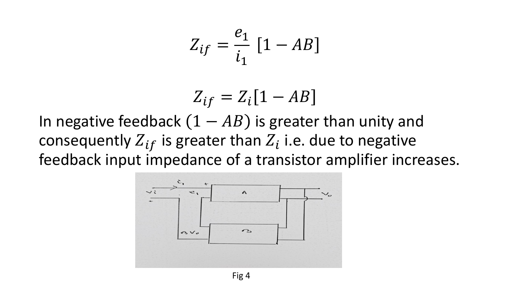$$
Z_{if} = \frac{e_1}{i_1} \left[ 1 - AB \right]
$$

$$
Z_{if} = Z_i[1 - AB]
$$

In negative feedback  $(1 - AB)$  is greater than unity and consequently  $Z_{if}$  is greater than  $Z_i$  i.e. due to negative feedback input impedance of a transistor amplifier increases.

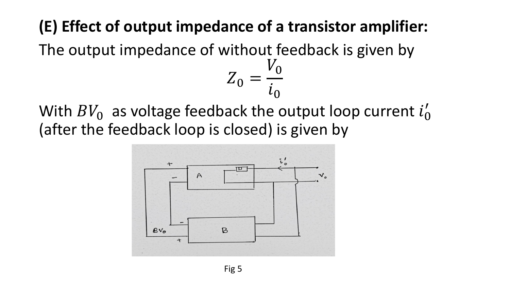### **(E) Effect of output impedance of a transistor amplifier:**

The output impedance of without feedback is given by  $V_0$ 

With  $BV_0$  as voltage feedback the output loop current  $i'_0$ (after the feedback loop is closed) is given by

 $Z_0$ 

 $i_0$